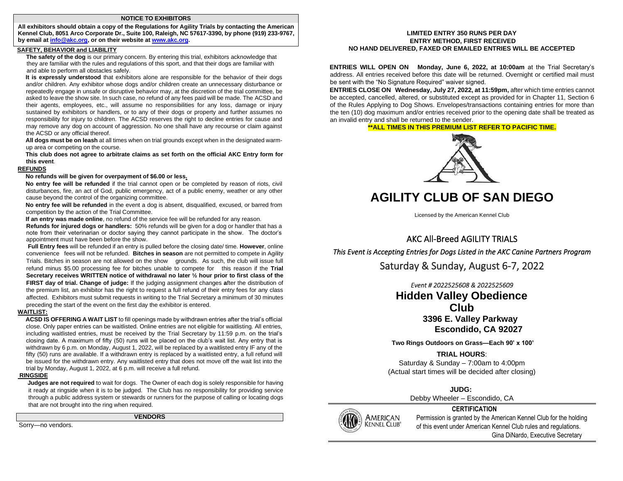#### **NOTICE TO EXHIBITORS**

**All exhibitors should obtain a copy of the Regulations for Agility Trials by contacting the American Kennel Club, 8051 Arco Corporate Dr., Suite 100, Raleigh, NC 57617-3390, by phone (919) 233-9767, by email at info@akc.org, or on their website [at www.akc.org.](http://www.akc.org/)**

## **SAFETY, BEHAVIOR and LIABILITY**

**The safety of the dog** is our primary concern. By entering this trial, exhibitors acknowledge that they are familiar with the rules and regulations of this sport, and that their dogs are familiar with and able to perform all obstacles safely.

**It is expressly understood** that exhibitors alone are responsible for the behavior of their dogs and/or children. Any exhibitor whose dogs and/or children create an unnecessary disturbance or repeatedly engage in unsafe or disruptive behavior may, at the discretion of the trial committee, be asked to leave the show site. In such case, no refund of any fees paid will be made. The ACSD and their agents, employees, etc., will assume no responsibilities for any loss, damage or injury sustained by exhibitors or handlers, or to any of their dogs or property and further assumes no responsibility for injury to children. The ACSD reserves the right to decline entries for cause and may remove any dog on account of aggression. No one shall have any recourse or claim against the ACSD or any official thereof.

**All dogs must be on leash** at all times when on trial grounds except when in the designated warmup area or competing on the course.

**This club does not agree to arbitrate claims as set forth on the official AKC Entry form for this event**.

#### **REFUNDS**

#### **No refunds will be given for overpayment of \$6.00 or less.**

**No entry fee will be refunded** if the trial cannot open or be completed by reason of riots, civil disturbances, fire, an act of God, public emergency, act of a public enemy, weather or any other cause beyond the control of the organizing committee.

**No entry fee will be refunded** in the event a dog is absent, disqualified, excused, or barred from competition by the action of the Trial Committee.

**If an entry was made online**, no refund of the service fee will be refunded for any reason.

**Refunds for injured dogs or handlers:** 50% refunds will be given for a dog or handler that has a note from their veterinarian or doctor saying they cannot participate in the show. The doctor's appointment must have been before the show.

**Full Entry fees** will be refunded if an entry is pulled before the closing date/ time. **However**, online convenience fees will not be refunded. **Bitches in season** are not permitted to compete in Agility Trials. Bitches in season are not allowed on the show grounds. As such, the club will issue full refund minus \$5.00 processing fee for bitches unable to compete for this reason if the **Trial Secretary receives WRITTEN notice of withdrawal no later ½ hour prior to first class of the FIRST day of trial. Change of judge:** If the judging assignment changes **a**fter the distribution of the premium list, an exhibitor has the right to request a full refund of their entry fees for any class affected. Exhibitors must submit requests in writing to the Trial Secretary a minimum of 30 minutes preceding the start of the event on the first day the exhibitor is entered.

### **WAITLIST:**

**ACSD IS OFFERING A WAIT LIST** to fill openings made by withdrawn entries after the trial's official close. Only paper entries can be waitlisted. Online entries are not eligible for waitlisting. All entries, including waitlisted entries, must be received by the Trial Secretary by 11:59 p.m. on the trial's closing date. A maximum of fifty (50) runs will be placed on the club's wait list. Any entry that is withdrawn by 6 p.m. on Monday, August 1, 2022, will be replaced by a waitlisted entry IF any of the fifty (50) runs are available. If a withdrawn entry is replaced by a waitlisted entry, a full refund will be issued for the withdrawn entry. Any waitlisted entry that does not move off the wait list into the trial by Monday, August 1, 2022, at 6 p.m. will receive a full refund.

#### **RINGSIDE**

 **Judges are not required** to wait for dogs. The Owner of each dog is solely responsible for having it ready at ringside when it is to be judged. The Club has no responsibility for providing service through a public address system or stewards or runners for the purpose of calling or locating dogs that are not brought into the ring when required.

**VENDORS** 

Sorry—no vendors.

#### **LIMITED ENTRY 350 RUNS PER DAY ENTRY METHOD, FIRST RECEIVED NO HAND DELIVERED, FAXED OR EMAILED ENTRIES WILL BE ACCEPTED**

**ENTRIES WILL OPEN ON Monday, June 6, 2022, at 10:00am** at the Trial Secretary's address. All entries received before this date will be returned. Overnight or certified mail must be sent with the "No Signature Required" waiver signed.

**ENTRIES CLOSE ON Wednesday, July 27, 2022, at 11:59pm,** after which time entries cannot be accepted, cancelled, altered, or substituted except as provided for in Chapter 11, Section 6 of the Rules Applying to Dog Shows. Envelopes/transactions containing entries for more than the ten (10) dog maximum and/or entries received prior to the opening date shall be treated as an invalid entry and shall be returned to the sender.

#### **\*\*ALL TIMES IN THIS PREMIUM LIST REFER TO PACIFIC TIME.**



# **AGILITY CLUB OF SAN DIEGO**

Licensed by the American Kennel Club

AKC All-Breed AGILITY TRIALS *This Event is Accepting Entries for Dogs Listed in the AKC Canine Partners Program* 

## Saturday & Sunday, August 6-7, 2022

*Event # 2022525608 & 2022525609*  **Hidden Valley Obedience Club 3396 E. Valley Parkway Escondido, CA 92027** 

**Two Rings Outdoors on Grass—Each 90' x 100'**

## **TRIAL HOURS**:

Saturday & Sunday – 7:00am to 4:00pm (Actual start times will be decided after closing)

## **JUDG:**

Debby Wheeler – Escondido, CA

## **CERTIFICATION**



AMERICAN Permission is granted by the American Kennel Club for the holding<br>KENNEL CLUB<sup>®</sup> of this overt under American Kennel Club rules and regulations of this event under American Kennel Club rules and regulations. Gina DiNardo, Executive Secretary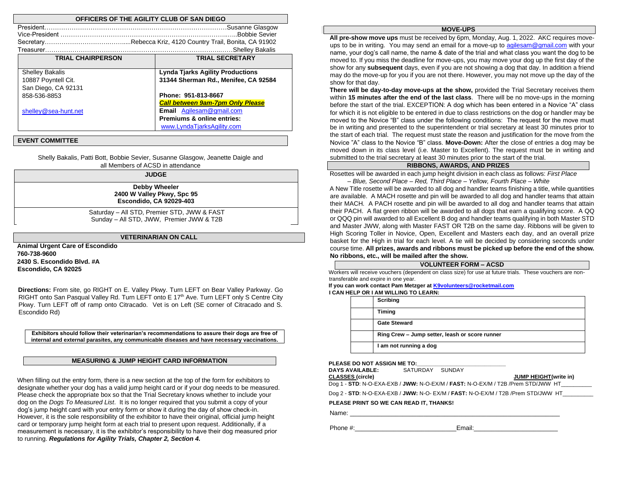| OFFICERS OF THE AGILITY CLUB OF SAN DIEGO |                                         |  |  |  |
|-------------------------------------------|-----------------------------------------|--|--|--|
| President                                 |                                         |  |  |  |
|                                           | <b>Bobbie Sevier</b>                    |  |  |  |
|                                           |                                         |  |  |  |
|                                           | Shelley Bakalis.                        |  |  |  |
| <b>TRIAL CHAIRPERSON</b>                  | <b>TRIAL SECRETARY</b>                  |  |  |  |
|                                           |                                         |  |  |  |
| <b>Shelley Bakalis</b>                    | <b>Lynda Tjarks Agility Productions</b> |  |  |  |
| 10887 Poyntell Cit.                       | 31344 Sherman Rd., Menifee, CA 92584    |  |  |  |
| San Diego, CA 92131                       |                                         |  |  |  |
| 858-536-8853                              | Phone: 951-813-8667                     |  |  |  |
|                                           | <b>Call between 9am-7pm Only Please</b> |  |  |  |
| shelley@sea-hunt.net                      | <b>Email</b> Agilesam@gmail.com         |  |  |  |
|                                           | <b>Premiums &amp; online entries:</b>   |  |  |  |
|                                           | www.LyndaTiarksAgility.com              |  |  |  |

#### **EVENT COMMITTEE**

Shelly Bakalis, Patti Bott, Bobbie Sevier, Susanne Glasgow, Jeanette Daigle and all Members of ACSD in attendance

**JUDGE** 

**Debby Wheeler 2400 W Valley Pkwy, Spc 95 Escondido, CA 92029-403**

Saturday – All STD, Premier STD, JWW & FAST Sunday – All STD, JWW, Premier JWW & T2B

#### **VETERINARIAN ON CALL**

**Animal Urgent Care of Escondido 760-738-9600 2430 S. Escondido Blvd. #A Escondido, CA 92025** 

**Directions:** From site, go RIGHT on E. Valley Pkwy. Turn LEFT on Bear Valley Parkway. Go RIGHT onto San Pasqual Valley Rd. Turn LEFT onto E 17<sup>th</sup> Ave. Turn LEFT only S Centre City Pkwy. Turn LEFT off of ramp onto Citracado. Vet is on Left (SE corner of Citracado and S. Escondido Rd)

**Exhibitors should follow their veterinarian's recommendations to assure their dogs are free of internal and external parasites, any communicable diseases and have necessary vaccinations.** 

#### **MEASURING & JUMP HEIGHT CARD INFORMATION**

When filling out the entry form, there is a new section at the top of the form for exhibitors to designate whether your dog has a valid jump height card or if your dog needs to be measured. Please check the appropriate box so that the Trial Secretary knows whether to include your dog on the *Dogs To Measured List*. It is no longer required that you submit a copy of your dog's jump height card with your entry form or show it during the day of show check-in. However, it is the sole responsibility of the exhibitor to have their original, official jump height card or temporary jump height form at each trial to present upon request. Additionally, if a measurement is necessary, it is the exhibitor's responsibility to have their dog measured prior to running. *Regulations for Agility Trials, Chapter 2, Section 4.* 

### **MOVE-UPS**

**All pre-show move ups** must be received by 6pm, Monday, Aug. 1, 2022. AKC requires moveups to be in writing. You may send an email for a move-up to agilesam@gmail.com with your name, your dog's call name, the name & date of the trial and what class you want the dog to be moved to. If you miss the deadline for move-ups, you may move your dog up the first day of the show for any **subsequent** days, even if you are not showing a dog that day. In addition a friend may do the move-up for you if you are not there. However, you may not move up the day of the show for that day.

**There will be day-to-day move-ups at the show,** provided the Trial Secretary receives them within **15 minutes after the end of the last class**. There will be no move-ups in the morning before the start of the trial. EXCEPTION: A dog which has been entered in a Novice "A" class for which it is not eligible to be entered in due to class restrictions on the dog or handler may be moved to the Novice "B" class under the following conditions: The request for the move must be in writing and presented to the superintendent or trial secretary at least 30 minutes prior to the start of each trial. The request must state the reason and justification for the move from the Novice "A" class to the Novice "B" class. **Move-Down:** After the close of entries a dog may be moved down in its class level (i.e. Master to Excellent). The request must be in writing and submitted to the trial secretary at least 30 minutes prior to the start of the trial.

## **RIBBONS, AWARDS, AND PRIZES**

Rosettes will be awarded in each jump height division in each class as follows: *First Place – Blue, Second Place – Red, Third Place – Yellow, Fourth Place – White* 

A New Title rosette will be awarded to all dog and handler teams finishing a title, while quantities are available. A MACH rosette and pin will be awarded to all dog and handler teams that attain their MACH. A PACH rosette and pin will be awarded to all dog and handler teams that attain their PACH. A flat green ribbon will be awarded to all dogs that earn a qualifying score. A QQ or QQQ pin will awarded to all Excellent B dog and handler teams qualifying in both Master STD and Master JWW, along with Master FAST OR T2B on the same day. Ribbons will be given to High Scoring Toller in Novice, Open, Excellent and Masters each day, and an overall prize basket for the High in trial for each level. A tie will be decided by considering seconds under course time. **All prizes, awards and ribbons must be picked up before the end of the show. No ribbons, etc., will be mailed after the show.** 

## **VOLUNTEER FORM – ACSD**

Workers will receive vouchers (dependent on class size) for use at future trials. These vouchers are nontransferable and expire in one year.

#### **If you can work contact Pam Metzger at K9volunteers@rocketmail.com I CAN HELP OR I AM WILLING TO LEARN:**

| Scribing                                       |
|------------------------------------------------|
|                                                |
| Timing                                         |
| <b>Gate Steward</b>                            |
| Ring Crew - Jump setter, leash or score runner |
| I am not running a dog                         |

#### PLEASE DO NOT ASSIGN ME TO:

| <b>DAYS AVAILABLE:</b>                  | SATURDAY SUNDAY |                                                                                   |
|-----------------------------------------|-----------------|-----------------------------------------------------------------------------------|
| <b>CLASSES (circle)</b>                 |                 | JUMP HEIGHT(write in)                                                             |
|                                         |                 | Dog 1 - STD: N-O-EXA-EXB / JWW: N-O-EX/M / FAST: N-O-EX/M / T2B /Prem STD/JWW HT  |
|                                         |                 | Dog 2 - STD: N-O-EXA-EXB / JWW: N-O- EX/M / FAST: N-O-EX/M / T2B /Prem STD/JWW HT |
| PLEASE PRINT SO WE CAN READ IT. THANKS! |                 |                                                                                   |
| Name:                                   |                 |                                                                                   |

Phone #:  $\blacksquare$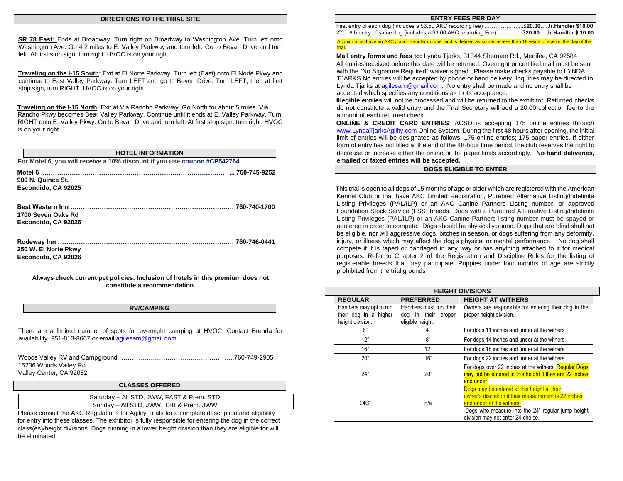#### **DIRECTIONS TO THE TRIAL SITE**

**SR 78 East:** Ends at Broadway. Turn right on Broadway to Washington Ave. Turn left onto Washington Ave. Go 4.2 miles to E. Valley Parkway and turn left. Go to Bevan Drive and turn left. At first stop sign, turn right. HVOC is on your right.

**Traveling on the I-15 South:** Exit at El Norte Parkway. Turn left (East) onto El Norte Pkwy and continue to East Valley Parkway. Turn LEFT and go to Beven Drive. Turn LEFT, then at first stop sign, turn RIGHT. HVOC is on your right.

**Traveling on the I-15 North:** Exit at Via Rancho Parkway. Go North for about 5 miles. Via Rancho Pkwy becomes Bear Valley Parkway. Continue until it ends at E. Valley Parkway. Turn RIGHT onto E. Valley Pkwy. Go to Bevan Drive and turn left. At first stop sign, turn right. HVOC is on your right.

**HOTEL INFORMATION For Motel 6, you will receive a 10% discount if you use coupon #CP542764 Motel 6 ……………………………………………………………………………….. 760-745-9252 900 N. Quince St. Escondido, CA 92025 Best Western Inn …………………………………………………………………… 760-740-1700 1700 Seven Oaks Rd Escondido, CA 92026 Rodeway Inn ………………………………………………………………………… 760-746-0441 250 W. El Norte Pkwy Escondido, CA 92026 Always check current pet policies. Inclusion of hotels in this premium does not** 

**RV/CAMPING** 

**constitute a recommendation.** 

There are a limited number of spots for overnight camping at HVOC. Contact Brenda for availability. 951-813-8667 or email agilesam@gmail.com

| 15236 Woods Valley Rd   |  |
|-------------------------|--|
| Valley Center, CA 92082 |  |

#### **CLASSES OFFERED**

Saturday – All STD, JWW, FAST & Prem. STD Sunday – All STD, JWW, T2B & Prem. JWW

Please consult the AKC Regulations for Agility Trials for a complete description and eligibility for entry into these classes. The exhibitor is fully responsible for entering the dog in the correct class(es)/height divisions. Dogs running in a lower height division than they are eligible for will be eliminated.

#### **ENTRY FEES PER DAY**

| First entry of each dog (includes a \$3.50 AKC recording fee)                 |                            |
|-------------------------------------------------------------------------------|----------------------------|
| 2 <sup>nd</sup> – 6th entry of same dog (includes a \$3.00 AKC recording Fee) | \$20.00Jr.Handler \$ 10.00 |

A junior must have an AKC Junior Handler number and is defined as someone less than 18 years of age on the day of the trial.

**Mail entry forms and fees to:** Lynda Tjarks, 31344 Sherman Rd., Menifee, CA 92584 All entries received before this date will be returned. Overnight or certified mail must be sent with the "No Signature Required" waiver signed. Please make checks payable to LYNDA TJARKS No entries will be accepted by phone or hand delivery. Inquiries may be directed to Lynda Tjarks at agilesam@gmail.com. No entry shall be made and no entry shall be accepted which specifies any conditions as to its acceptance.

**Illegible entries** will not be processed and will be returned to the exhibitor. Returned checks do not constitute a valid entry and the Trial Secretary will add a 20.00 collection fee to the amount of each returned check.

**ONLINE & CREDIT CARD ENTRIES**: ACSD is accepting 175 online entries through [www.LyndaTjarksAgility.com](http://www.lyndatjarksagility.com/) [O](http://www.lyndatjarksagility.com/)nline System. During the first 48 hours after opening, the initial limit of entries will be designated as follows: 175 online entries; 175 paper entries. If either form of entry has not filled at the end of the 48-hour time period, the club reserves the right to decrease or increase either the online or the paper limits accordingly. **No hand deliveries, emailed or faxed entries will be accepted.** 

#### **DOGS ELIGIBLE TO ENTER**

 This trial is open to all dogs of 15 months of age or older which are registered with the American Kennel Club or that have AKC Limited Registration, Purebred Alternative Listing/Indefinite Listing Privileges (PAL/ILP) or an AKC Canine Partners Listing number, or approved Foundation Stock Service (FSS) breeds. Dogs with a Purebred Alternative Listing/Indefinite Listing Privileges (PAL/ILP) or an AKC Canine Partners listing number must be spayed or neutered in order to compete. Dogs should be physically sound. Dogs that are blind shall not be eligible, nor will aggressive dogs, bitches in season, or dogs suffering from any deformity, injury, or illness which may affect the dog's physical or mental performance. No dog shall compete if it is taped or bandaged in any way or has anything attached to it for medical purposes. Refer to Chapter 2 of the Registration and Discipline Rules for the listing of registerable breeds that may participate. Puppies under four months of age are strictly prohibited from the trial grounds

| <b>HEIGHT DIVISIONS</b>                   |                                         |                                                         |  |  |  |  |  |
|-------------------------------------------|-----------------------------------------|---------------------------------------------------------|--|--|--|--|--|
| <b>REGULAR</b>                            | <b>PREFERRED</b>                        | <b>HEIGHT AT WITHERS</b>                                |  |  |  |  |  |
| Handlers may opt to run                   | Handlers must run their                 | Owners are responsible for entering their dog in the    |  |  |  |  |  |
| their dog in a higher<br>height division. | dog in their proper<br>eligible height. | proper height division.                                 |  |  |  |  |  |
| 8"                                        | 4"                                      | For dogs 11 inches and under at the withers             |  |  |  |  |  |
| 12"                                       | ጸ"                                      | For dogs 14 inches and under at the withers             |  |  |  |  |  |
| 16"                                       | 12"                                     | For dogs 18 inches and under at the withers             |  |  |  |  |  |
| 20"                                       | 16"                                     | For dogs 22 inches and under at the withers             |  |  |  |  |  |
|                                           |                                         | For dogs over 22 inches at the withers. Regular Dogs    |  |  |  |  |  |
| 24"                                       | 20"                                     | may not be entered in this height if they are 22 inches |  |  |  |  |  |
|                                           |                                         | and under.                                              |  |  |  |  |  |
|                                           |                                         | Dogs may be entered at this height at their             |  |  |  |  |  |
|                                           |                                         | owner's discretion if their measurement is 22 inches    |  |  |  |  |  |
| $24C$ "                                   | n/a                                     | and under at the withers.                               |  |  |  |  |  |
|                                           |                                         | Dogs who measure into the 24" regular jump height       |  |  |  |  |  |
|                                           |                                         | division may not enter 24-choice.                       |  |  |  |  |  |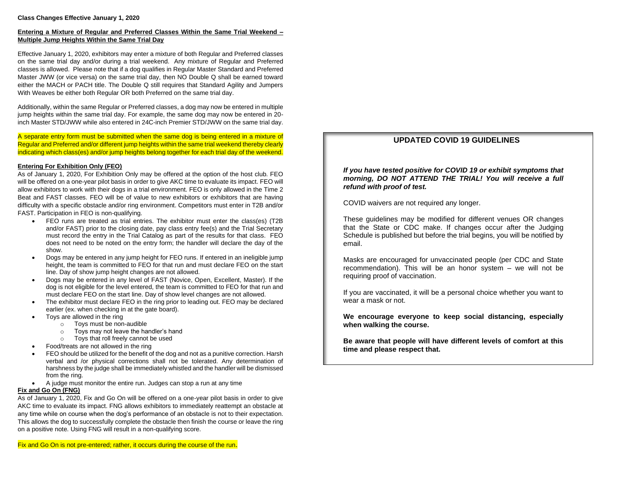## **Entering a Mixture of Regular and Preferred Classes Within the Same Trial Weekend – Multiple Jump Heights Within the Same Trial Day**

Effective January 1, 2020, exhibitors may enter a mixture of both Regular and Preferred classes on the same trial day and/or during a trial weekend. Any mixture of Regular and Preferred classes is allowed. Please note that if a dog qualifies in Regular Master Standard and Preferred Master JWW (or vice versa) on the same trial day, then NO Double Q shall be earned toward either the MACH or PACH title. The Double Q still requires that Standard Agility and Jumpers With Weaves be either both Regular OR both Preferred on the same trial day.

Additionally, within the same Regular or Preferred classes, a dog may now be entered in multiple jump heights within the same trial day. For example, the same dog may now be entered in 20 inch Master STD/JWW while also entered in 24C-inch Premier STD/JWW on the same trial day.

A separate entry form must be submitted when the same dog is being entered in a mixture of Regular and Preferred and/or different jump heights within the same trial weekend thereby clearly indicating which class(es) and/or jump heights belong together for each trial day of the weekend.

## **Entering For Exhibition Only (FEO)**

As of January 1, 2020, For Exhibition Only may be offered at the option of the host club. FEO will be offered on a one-year pilot basis in order to give AKC time to evaluate its impact. FEO will allow exhibitors to work with their dogs in a trial environment. FEO is only allowed in the Time 2 Beat and FAST classes. FEO will be of value to new exhibitors or exhibitors that are having difficulty with a specific obstacle and/or ring environment. Competitors must enter in T2B and/or FAST. Participation in FEO is non-qualifying.

- FEO runs are treated as trial entries. The exhibitor must enter the class(es) (T2B and/or FAST) prior to the closing date, pay class entry fee(s) and the Trial Secretary must record the entry in the Trial Catalog as part of the results for that class. FEO does not need to be noted on the entry form; the handler will declare the day of the show.
- Dogs may be entered in any jump height for FEO runs. If entered in an ineligible jump height, the team is committed to FEO for that run and must declare FEO on the start line. Day of show jump height changes are not allowed.
- Dogs may be entered in any level of FAST (Novice, Open, Excellent, Master). If the dog is not eligible for the level entered, the team is committed to FEO for that run and must declare FEO on the start line. Day of show level changes are not allowed.
- The exhibitor must declare FEO in the ring prior to leading out. FEO may be declared earlier (ex. when checking in at the gate board).
- Toys are allowed in the ring
	- o Toys must be non-audible
	- Toys may not leave the handler's hand
	- o Toys that roll freely cannot be used
- Food/treats are not allowed in the ring
- FEO should be utilized for the benefit of the dog and not as a punitive correction. Harsh verbal and /or physical corrections shall not be tolerated. Any determination of harshness by the judge shall be immediately whistled and the handler will be dismissed from the ring.
- A judge must monitor the entire run. Judges can stop a run at any time

## **Fix and Go On (FNG)**

As of January 1, 2020, Fix and Go On will be offered on a one-year pilot basis in order to give AKC time to evaluate its impact. FNG allows exhibitors to immediately reattempt an obstacle at any time while on course when the dog's performance of an obstacle is not to their expectation. This allows the dog to successfully complete the obstacle then finish the course or leave the ring on a positive note. Using FNG will result in a non-qualifying score.

## Fix and Go On is not pre-entered; rather, it occurs during the course of the run.

## **UPDATED COVID 19 GUIDELINES**

*If you have tested positive for COVID 19 or exhibit symptoms that morning, DO NOT ATTEND THE TRIAL! You will receive a full refund with proof of test.* 

COVID waivers are not required any longer.

These guidelines may be modified for different venues OR changes that the State or CDC make. If changes occur after the Judging Schedule is published but before the trial begins, you will be notified by email.

Masks are encouraged for unvaccinated people (per CDC and State recommendation). This will be an honor system – we will not be requiring proof of vaccination.

If you are vaccinated, it will be a personal choice whether you want to wear a mask or not.

**We encourage everyone to keep social distancing, especially when walking the course.**

**Be aware that people will have different levels of comfort at this time and please respect that.**